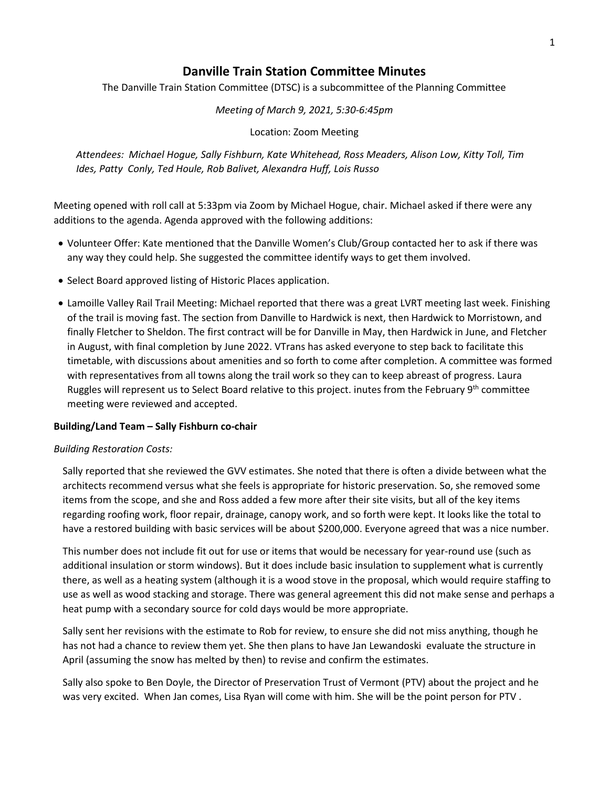# **Danville Train Station Committee Minutes**

The Danville Train Station Committee (DTSC) is a subcommittee of the Planning Committee

*Meeting of March 9, 2021, 5:30-6:45pm*

Location: Zoom Meeting

*Attendees: Michael Hogue, Sally Fishburn, Kate Whitehead, Ross Meaders, Alison Low, Kitty Toll, Tim Ides, Patty Conly, Ted Houle, Rob Balivet, Alexandra Huff, Lois Russo*

Meeting opened with roll call at 5:33pm via Zoom by Michael Hogue, chair. Michael asked if there were any additions to the agenda. Agenda approved with the following additions:

- Volunteer Offer: Kate mentioned that the Danville Women's Club/Group contacted her to ask if there was any way they could help. She suggested the committee identify ways to get them involved.
- Select Board approved listing of Historic Places application.
- Lamoille Valley Rail Trail Meeting: Michael reported that there was a great LVRT meeting last week. Finishing of the trail is moving fast. The section from Danville to Hardwick is next, then Hardwick to Morristown, and finally Fletcher to Sheldon. The first contract will be for Danville in May, then Hardwick in June, and Fletcher in August, with final completion by June 2022. VTrans has asked everyone to step back to facilitate this timetable, with discussions about amenities and so forth to come after completion. A committee was formed with representatives from all towns along the trail work so they can to keep abreast of progress. Laura Ruggles will represent us to Select Board relative to this project. inutes from the February 9<sup>th</sup> committee meeting were reviewed and accepted.

### **Building/Land Team – Sally Fishburn co-chair**

#### *Building Restoration Costs:*

Sally reported that she reviewed the GVV estimates. She noted that there is often a divide between what the architects recommend versus what she feels is appropriate for historic preservation. So, she removed some items from the scope, and she and Ross added a few more after their site visits, but all of the key items regarding roofing work, floor repair, drainage, canopy work, and so forth were kept. It looks like the total to have a restored building with basic services will be about \$200,000. Everyone agreed that was a nice number.

This number does not include fit out for use or items that would be necessary for year-round use (such as additional insulation or storm windows). But it does include basic insulation to supplement what is currently there, as well as a heating system (although it is a wood stove in the proposal, which would require staffing to use as well as wood stacking and storage. There was general agreement this did not make sense and perhaps a heat pump with a secondary source for cold days would be more appropriate.

Sally sent her revisions with the estimate to Rob for review, to ensure she did not miss anything, though he has not had a chance to review them yet. She then plans to have Jan Lewandoski evaluate the structure in April (assuming the snow has melted by then) to revise and confirm the estimates.

Sally also spoke to Ben Doyle, the Director of Preservation Trust of Vermont (PTV) about the project and he was very excited. When Jan comes, Lisa Ryan will come with him. She will be the point person for PTV .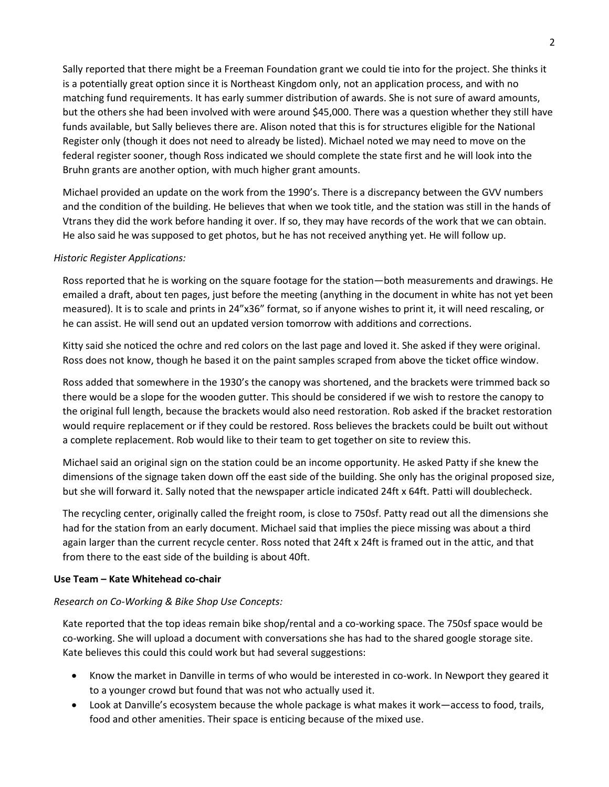Sally reported that there might be a Freeman Foundation grant we could tie into for the project. She thinks it is a potentially great option since it is Northeast Kingdom only, not an application process, and with no matching fund requirements. It has early summer distribution of awards. She is not sure of award amounts, but the others she had been involved with were around \$45,000. There was a question whether they still have funds available, but Sally believes there are. Alison noted that this is for structures eligible for the National Register only (though it does not need to already be listed). Michael noted we may need to move on the federal register sooner, though Ross indicated we should complete the state first and he will look into the Bruhn grants are another option, with much higher grant amounts.

Michael provided an update on the work from the 1990's. There is a discrepancy between the GVV numbers and the condition of the building. He believes that when we took title, and the station was still in the hands of Vtrans they did the work before handing it over. If so, they may have records of the work that we can obtain. He also said he was supposed to get photos, but he has not received anything yet. He will follow up.

### *Historic Register Applications:*

Ross reported that he is working on the square footage for the station—both measurements and drawings. He emailed a draft, about ten pages, just before the meeting (anything in the document in white has not yet been measured). It is to scale and prints in 24"x36" format, so if anyone wishes to print it, it will need rescaling, or he can assist. He will send out an updated version tomorrow with additions and corrections.

Kitty said she noticed the ochre and red colors on the last page and loved it. She asked if they were original. Ross does not know, though he based it on the paint samples scraped from above the ticket office window.

Ross added that somewhere in the 1930's the canopy was shortened, and the brackets were trimmed back so there would be a slope for the wooden gutter. This should be considered if we wish to restore the canopy to the original full length, because the brackets would also need restoration. Rob asked if the bracket restoration would require replacement or if they could be restored. Ross believes the brackets could be built out without a complete replacement. Rob would like to their team to get together on site to review this.

Michael said an original sign on the station could be an income opportunity. He asked Patty if she knew the dimensions of the signage taken down off the east side of the building. She only has the original proposed size, but she will forward it. Sally noted that the newspaper article indicated 24ft x 64ft. Patti will doublecheck.

The recycling center, originally called the freight room, is close to 750sf. Patty read out all the dimensions she had for the station from an early document. Michael said that implies the piece missing was about a third again larger than the current recycle center. Ross noted that 24ft x 24ft is framed out in the attic, and that from there to the east side of the building is about 40ft.

### **Use Team – Kate Whitehead co-chair**

### *Research on Co-Working & Bike Shop Use Concepts:*

Kate reported that the top ideas remain bike shop/rental and a co-working space. The 750sf space would be co-working. She will upload a document with conversations she has had to the shared google storage site. Kate believes this could this could work but had several suggestions:

- Know the market in Danville in terms of who would be interested in co-work. In Newport they geared it to a younger crowd but found that was not who actually used it.
- Look at Danville's ecosystem because the whole package is what makes it work—access to food, trails, food and other amenities. Their space is enticing because of the mixed use.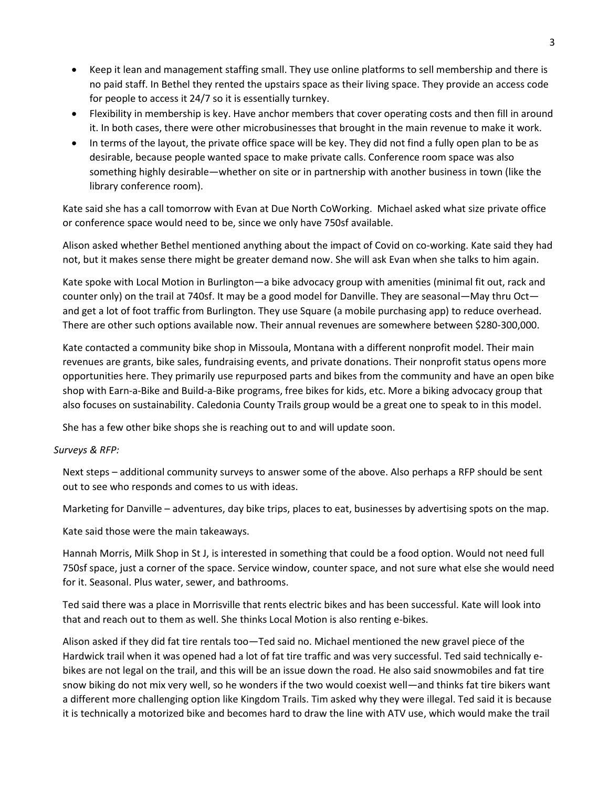- Keep it lean and management staffing small. They use online platforms to sell membership and there is no paid staff. In Bethel they rented the upstairs space as their living space. They provide an access code for people to access it 24/7 so it is essentially turnkey.
- Flexibility in membership is key. Have anchor members that cover operating costs and then fill in around it. In both cases, there were other microbusinesses that brought in the main revenue to make it work.
- In terms of the layout, the private office space will be key. They did not find a fully open plan to be as desirable, because people wanted space to make private calls. Conference room space was also something highly desirable—whether on site or in partnership with another business in town (like the library conference room).

Kate said she has a call tomorrow with Evan at Due North CoWorking. Michael asked what size private office or conference space would need to be, since we only have 750sf available.

Alison asked whether Bethel mentioned anything about the impact of Covid on co-working. Kate said they had not, but it makes sense there might be greater demand now. She will ask Evan when she talks to him again.

Kate spoke with Local Motion in Burlington—a bike advocacy group with amenities (minimal fit out, rack and counter only) on the trail at 740sf. It may be a good model for Danville. They are seasonal—May thru Oct and get a lot of foot traffic from Burlington. They use Square (a mobile purchasing app) to reduce overhead. There are other such options available now. Their annual revenues are somewhere between \$280-300,000.

Kate contacted a community bike shop in Missoula, Montana with a different nonprofit model. Their main revenues are grants, bike sales, fundraising events, and private donations. Their nonprofit status opens more opportunities here. They primarily use repurposed parts and bikes from the community and have an open bike shop with Earn-a-Bike and Build-a-Bike programs, free bikes for kids, etc. More a biking advocacy group that also focuses on sustainability. Caledonia County Trails group would be a great one to speak to in this model.

She has a few other bike shops she is reaching out to and will update soon.

### *Surveys & RFP:*

Next steps – additional community surveys to answer some of the above. Also perhaps a RFP should be sent out to see who responds and comes to us with ideas.

Marketing for Danville – adventures, day bike trips, places to eat, businesses by advertising spots on the map.

Kate said those were the main takeaways.

Hannah Morris, Milk Shop in St J, is interested in something that could be a food option. Would not need full 750sf space, just a corner of the space. Service window, counter space, and not sure what else she would need for it. Seasonal. Plus water, sewer, and bathrooms.

Ted said there was a place in Morrisville that rents electric bikes and has been successful. Kate will look into that and reach out to them as well. She thinks Local Motion is also renting e-bikes.

Alison asked if they did fat tire rentals too—Ted said no. Michael mentioned the new gravel piece of the Hardwick trail when it was opened had a lot of fat tire traffic and was very successful. Ted said technically ebikes are not legal on the trail, and this will be an issue down the road. He also said snowmobiles and fat tire snow biking do not mix very well, so he wonders if the two would coexist well—and thinks fat tire bikers want a different more challenging option like Kingdom Trails. Tim asked why they were illegal. Ted said it is because it is technically a motorized bike and becomes hard to draw the line with ATV use, which would make the trail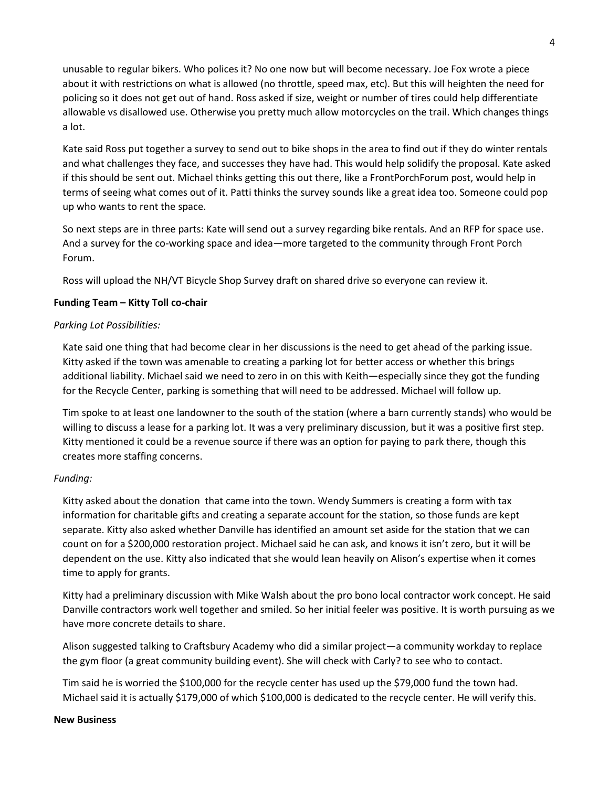unusable to regular bikers. Who polices it? No one now but will become necessary. Joe Fox wrote a piece about it with restrictions on what is allowed (no throttle, speed max, etc). But this will heighten the need for policing so it does not get out of hand. Ross asked if size, weight or number of tires could help differentiate allowable vs disallowed use. Otherwise you pretty much allow motorcycles on the trail. Which changes things a lot.

Kate said Ross put together a survey to send out to bike shops in the area to find out if they do winter rentals and what challenges they face, and successes they have had. This would help solidify the proposal. Kate asked if this should be sent out. Michael thinks getting this out there, like a FrontPorchForum post, would help in terms of seeing what comes out of it. Patti thinks the survey sounds like a great idea too. Someone could pop up who wants to rent the space.

So next steps are in three parts: Kate will send out a survey regarding bike rentals. And an RFP for space use. And a survey for the co-working space and idea—more targeted to the community through Front Porch Forum.

Ross will upload the NH/VT Bicycle Shop Survey draft on shared drive so everyone can review it.

## **Funding Team – Kitty Toll co-chair**

### *Parking Lot Possibilities:*

Kate said one thing that had become clear in her discussions is the need to get ahead of the parking issue. Kitty asked if the town was amenable to creating a parking lot for better access or whether this brings additional liability. Michael said we need to zero in on this with Keith—especially since they got the funding for the Recycle Center, parking is something that will need to be addressed. Michael will follow up.

Tim spoke to at least one landowner to the south of the station (where a barn currently stands) who would be willing to discuss a lease for a parking lot. It was a very preliminary discussion, but it was a positive first step. Kitty mentioned it could be a revenue source if there was an option for paying to park there, though this creates more staffing concerns.

### *Funding:*

Kitty asked about the donation that came into the town. Wendy Summers is creating a form with tax information for charitable gifts and creating a separate account for the station, so those funds are kept separate. Kitty also asked whether Danville has identified an amount set aside for the station that we can count on for a \$200,000 restoration project. Michael said he can ask, and knows it isn't zero, but it will be dependent on the use. Kitty also indicated that she would lean heavily on Alison's expertise when it comes time to apply for grants.

Kitty had a preliminary discussion with Mike Walsh about the pro bono local contractor work concept. He said Danville contractors work well together and smiled. So her initial feeler was positive. It is worth pursuing as we have more concrete details to share.

Alison suggested talking to Craftsbury Academy who did a similar project—a community workday to replace the gym floor (a great community building event). She will check with Carly? to see who to contact.

Tim said he is worried the \$100,000 for the recycle center has used up the \$79,000 fund the town had. Michael said it is actually \$179,000 of which \$100,000 is dedicated to the recycle center. He will verify this.

#### **New Business**